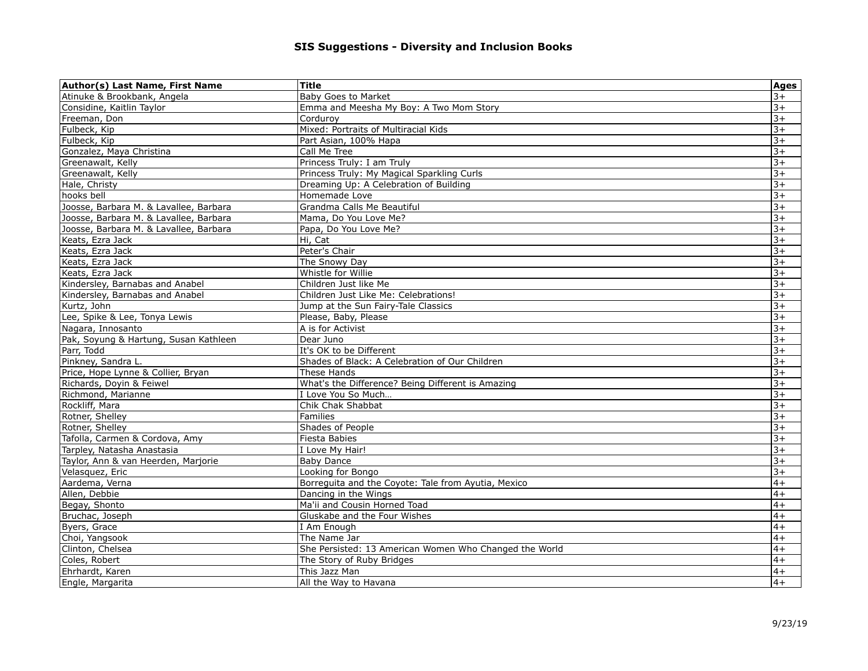| Atinuke & Brookbank, Angela<br>Baby Goes to Market<br>Considine, Kaitlin Taylor<br>Emma and Meesha My Boy: A Two Mom Story<br>$3+$<br>$+5$<br>Freeman, Don<br>Cordurov<br>Mixed: Portraits of Multiracial Kids<br>$+\epsilon$<br>Fulbeck, Kip<br>$+\epsilon$<br>Fulbeck, Kip<br>Part Asian, 100% Hapa<br>Call Me Tree<br>Gonzalez, Maya Christina<br>$3+$<br>Princess Truly: I am Truly<br>$3+$<br>Greenawalt, Kelly<br>Princess Truly: My Magical Sparkling Curls<br>$3+$<br>Greenawalt, Kelly<br>Hale, Christy<br>Dreaming Up: A Celebration of Building<br>$3+$<br>Homemade Love<br>$+\epsilon$<br>hooks bell<br>Grandma Calls Me Beautiful<br>$+5$<br>Joosse, Barbara M. & Lavallee, Barbara<br>Joosse, Barbara M. & Lavallee, Barbara<br>Mama, Do You Love Me?<br>$3+$<br>$3+$<br>Papa, Do You Love Me?<br>Joosse, Barbara M. & Lavallee, Barbara<br>Hi, Cat<br>Keats, Ezra Jack<br>$3+$<br>Keats, Ezra Jack<br>Peter's Chair<br>$3+$<br>$3+$<br>The Snowy Day<br>Keats, Ezra Jack<br>$3+$<br>Keats, Ezra Jack<br>Whistle for Willie<br>$+\epsilon$<br>Kindersley, Barnabas and Anabel<br>Children Just like Me<br>$+\epsilon$<br>Kindersley, Barnabas and Anabel<br>Children Just Like Me: Celebrations!<br>$3+$<br>Kurtz, John<br>Jump at the Sun Fairy-Tale Classics<br>Lee, Spike & Lee, Tonya Lewis<br>$3+$<br>Please, Baby, Please<br>A is for Activist<br>$3+$<br>Nagara, Innosanto<br>Pak, Soyung & Hartung, Susan Kathleen<br>$3+$<br>Dear Juno<br>$3+$<br>It's OK to be Different<br>Parr, Todd<br>Pinkney, Sandra L.<br>Shades of Black: A Celebration of Our Children<br>$3+$<br>Price, Hope Lynne & Collier, Bryan<br>These Hands<br>$3+$<br>What's the Difference? Being Different is Amazing<br>$+\epsilon$<br>Richards, Doyin & Feiwel<br>$+\epsilon$<br>Richmond, Marianne<br>I Love You So Much<br>$3+$<br>Rockliff, Mara<br>Chik Chak Shabbat<br>Rotner, Shelley<br><b>Families</b><br>$3+$<br>Shades of People<br>$3+$<br>Rotner, Shelley<br>$3+$<br>Tafolla, Carmen & Cordova, Amy<br><b>Fiesta Babies</b><br>Tarpley, Natasha Anastasia<br>I Love My Hair!<br>$3+$<br>$3+$<br>Taylor, Ann & van Heerden, Marjorie<br><b>Baby Dance</b><br>$+5$<br>Velasquez, Eric<br>Looking for Bongo<br>Aardema, Verna<br>Borreguita and the Coyote: Tale from Ayutia, Mexico<br>$4+$<br>$4+$<br>Allen, Debbie<br>Dancing in the Wings<br>Begay, Shonto<br>Ma'ii and Cousin Horned Toad<br>$4+$<br>$4+$<br>Bruchac, Joseph<br>Gluskabe and the Four Wishes<br>$4+$<br>Byers, Grace<br>I Am Enough<br>$4+$<br>Choi, Yangsook<br>The Name Jar<br>Clinton, Chelsea<br>She Persisted: 13 American Women Who Changed the World<br>$4+$<br>$4+$<br>Coles, Robert<br>The Story of Ruby Bridges<br>Ehrhardt, Karen<br>This Jazz Man<br>$4+$<br>$4+$<br>Engle, Margarita<br>All the Way to Havana | Author(s) Last Name, First Name | Title | <b>Ages</b> |
|-------------------------------------------------------------------------------------------------------------------------------------------------------------------------------------------------------------------------------------------------------------------------------------------------------------------------------------------------------------------------------------------------------------------------------------------------------------------------------------------------------------------------------------------------------------------------------------------------------------------------------------------------------------------------------------------------------------------------------------------------------------------------------------------------------------------------------------------------------------------------------------------------------------------------------------------------------------------------------------------------------------------------------------------------------------------------------------------------------------------------------------------------------------------------------------------------------------------------------------------------------------------------------------------------------------------------------------------------------------------------------------------------------------------------------------------------------------------------------------------------------------------------------------------------------------------------------------------------------------------------------------------------------------------------------------------------------------------------------------------------------------------------------------------------------------------------------------------------------------------------------------------------------------------------------------------------------------------------------------------------------------------------------------------------------------------------------------------------------------------------------------------------------------------------------------------------------------------------------------------------------------------------------------------------------------------------------------------------------------------------------------------------------------------------------------------------------------------------------------------------------------------------------------------------------------------------------------------------------------------------------------------------------------------------------------------------------------------------------------------------------------------------------------------------------|---------------------------------|-------|-------------|
|                                                                                                                                                                                                                                                                                                                                                                                                                                                                                                                                                                                                                                                                                                                                                                                                                                                                                                                                                                                                                                                                                                                                                                                                                                                                                                                                                                                                                                                                                                                                                                                                                                                                                                                                                                                                                                                                                                                                                                                                                                                                                                                                                                                                                                                                                                                                                                                                                                                                                                                                                                                                                                                                                                                                                                                                       |                                 |       | $+5$        |
|                                                                                                                                                                                                                                                                                                                                                                                                                                                                                                                                                                                                                                                                                                                                                                                                                                                                                                                                                                                                                                                                                                                                                                                                                                                                                                                                                                                                                                                                                                                                                                                                                                                                                                                                                                                                                                                                                                                                                                                                                                                                                                                                                                                                                                                                                                                                                                                                                                                                                                                                                                                                                                                                                                                                                                                                       |                                 |       |             |
|                                                                                                                                                                                                                                                                                                                                                                                                                                                                                                                                                                                                                                                                                                                                                                                                                                                                                                                                                                                                                                                                                                                                                                                                                                                                                                                                                                                                                                                                                                                                                                                                                                                                                                                                                                                                                                                                                                                                                                                                                                                                                                                                                                                                                                                                                                                                                                                                                                                                                                                                                                                                                                                                                                                                                                                                       |                                 |       |             |
|                                                                                                                                                                                                                                                                                                                                                                                                                                                                                                                                                                                                                                                                                                                                                                                                                                                                                                                                                                                                                                                                                                                                                                                                                                                                                                                                                                                                                                                                                                                                                                                                                                                                                                                                                                                                                                                                                                                                                                                                                                                                                                                                                                                                                                                                                                                                                                                                                                                                                                                                                                                                                                                                                                                                                                                                       |                                 |       |             |
|                                                                                                                                                                                                                                                                                                                                                                                                                                                                                                                                                                                                                                                                                                                                                                                                                                                                                                                                                                                                                                                                                                                                                                                                                                                                                                                                                                                                                                                                                                                                                                                                                                                                                                                                                                                                                                                                                                                                                                                                                                                                                                                                                                                                                                                                                                                                                                                                                                                                                                                                                                                                                                                                                                                                                                                                       |                                 |       |             |
|                                                                                                                                                                                                                                                                                                                                                                                                                                                                                                                                                                                                                                                                                                                                                                                                                                                                                                                                                                                                                                                                                                                                                                                                                                                                                                                                                                                                                                                                                                                                                                                                                                                                                                                                                                                                                                                                                                                                                                                                                                                                                                                                                                                                                                                                                                                                                                                                                                                                                                                                                                                                                                                                                                                                                                                                       |                                 |       |             |
|                                                                                                                                                                                                                                                                                                                                                                                                                                                                                                                                                                                                                                                                                                                                                                                                                                                                                                                                                                                                                                                                                                                                                                                                                                                                                                                                                                                                                                                                                                                                                                                                                                                                                                                                                                                                                                                                                                                                                                                                                                                                                                                                                                                                                                                                                                                                                                                                                                                                                                                                                                                                                                                                                                                                                                                                       |                                 |       |             |
|                                                                                                                                                                                                                                                                                                                                                                                                                                                                                                                                                                                                                                                                                                                                                                                                                                                                                                                                                                                                                                                                                                                                                                                                                                                                                                                                                                                                                                                                                                                                                                                                                                                                                                                                                                                                                                                                                                                                                                                                                                                                                                                                                                                                                                                                                                                                                                                                                                                                                                                                                                                                                                                                                                                                                                                                       |                                 |       |             |
|                                                                                                                                                                                                                                                                                                                                                                                                                                                                                                                                                                                                                                                                                                                                                                                                                                                                                                                                                                                                                                                                                                                                                                                                                                                                                                                                                                                                                                                                                                                                                                                                                                                                                                                                                                                                                                                                                                                                                                                                                                                                                                                                                                                                                                                                                                                                                                                                                                                                                                                                                                                                                                                                                                                                                                                                       |                                 |       |             |
|                                                                                                                                                                                                                                                                                                                                                                                                                                                                                                                                                                                                                                                                                                                                                                                                                                                                                                                                                                                                                                                                                                                                                                                                                                                                                                                                                                                                                                                                                                                                                                                                                                                                                                                                                                                                                                                                                                                                                                                                                                                                                                                                                                                                                                                                                                                                                                                                                                                                                                                                                                                                                                                                                                                                                                                                       |                                 |       |             |
|                                                                                                                                                                                                                                                                                                                                                                                                                                                                                                                                                                                                                                                                                                                                                                                                                                                                                                                                                                                                                                                                                                                                                                                                                                                                                                                                                                                                                                                                                                                                                                                                                                                                                                                                                                                                                                                                                                                                                                                                                                                                                                                                                                                                                                                                                                                                                                                                                                                                                                                                                                                                                                                                                                                                                                                                       |                                 |       |             |
|                                                                                                                                                                                                                                                                                                                                                                                                                                                                                                                                                                                                                                                                                                                                                                                                                                                                                                                                                                                                                                                                                                                                                                                                                                                                                                                                                                                                                                                                                                                                                                                                                                                                                                                                                                                                                                                                                                                                                                                                                                                                                                                                                                                                                                                                                                                                                                                                                                                                                                                                                                                                                                                                                                                                                                                                       |                                 |       |             |
|                                                                                                                                                                                                                                                                                                                                                                                                                                                                                                                                                                                                                                                                                                                                                                                                                                                                                                                                                                                                                                                                                                                                                                                                                                                                                                                                                                                                                                                                                                                                                                                                                                                                                                                                                                                                                                                                                                                                                                                                                                                                                                                                                                                                                                                                                                                                                                                                                                                                                                                                                                                                                                                                                                                                                                                                       |                                 |       |             |
|                                                                                                                                                                                                                                                                                                                                                                                                                                                                                                                                                                                                                                                                                                                                                                                                                                                                                                                                                                                                                                                                                                                                                                                                                                                                                                                                                                                                                                                                                                                                                                                                                                                                                                                                                                                                                                                                                                                                                                                                                                                                                                                                                                                                                                                                                                                                                                                                                                                                                                                                                                                                                                                                                                                                                                                                       |                                 |       |             |
|                                                                                                                                                                                                                                                                                                                                                                                                                                                                                                                                                                                                                                                                                                                                                                                                                                                                                                                                                                                                                                                                                                                                                                                                                                                                                                                                                                                                                                                                                                                                                                                                                                                                                                                                                                                                                                                                                                                                                                                                                                                                                                                                                                                                                                                                                                                                                                                                                                                                                                                                                                                                                                                                                                                                                                                                       |                                 |       |             |
|                                                                                                                                                                                                                                                                                                                                                                                                                                                                                                                                                                                                                                                                                                                                                                                                                                                                                                                                                                                                                                                                                                                                                                                                                                                                                                                                                                                                                                                                                                                                                                                                                                                                                                                                                                                                                                                                                                                                                                                                                                                                                                                                                                                                                                                                                                                                                                                                                                                                                                                                                                                                                                                                                                                                                                                                       |                                 |       |             |
|                                                                                                                                                                                                                                                                                                                                                                                                                                                                                                                                                                                                                                                                                                                                                                                                                                                                                                                                                                                                                                                                                                                                                                                                                                                                                                                                                                                                                                                                                                                                                                                                                                                                                                                                                                                                                                                                                                                                                                                                                                                                                                                                                                                                                                                                                                                                                                                                                                                                                                                                                                                                                                                                                                                                                                                                       |                                 |       |             |
|                                                                                                                                                                                                                                                                                                                                                                                                                                                                                                                                                                                                                                                                                                                                                                                                                                                                                                                                                                                                                                                                                                                                                                                                                                                                                                                                                                                                                                                                                                                                                                                                                                                                                                                                                                                                                                                                                                                                                                                                                                                                                                                                                                                                                                                                                                                                                                                                                                                                                                                                                                                                                                                                                                                                                                                                       |                                 |       |             |
|                                                                                                                                                                                                                                                                                                                                                                                                                                                                                                                                                                                                                                                                                                                                                                                                                                                                                                                                                                                                                                                                                                                                                                                                                                                                                                                                                                                                                                                                                                                                                                                                                                                                                                                                                                                                                                                                                                                                                                                                                                                                                                                                                                                                                                                                                                                                                                                                                                                                                                                                                                                                                                                                                                                                                                                                       |                                 |       |             |
|                                                                                                                                                                                                                                                                                                                                                                                                                                                                                                                                                                                                                                                                                                                                                                                                                                                                                                                                                                                                                                                                                                                                                                                                                                                                                                                                                                                                                                                                                                                                                                                                                                                                                                                                                                                                                                                                                                                                                                                                                                                                                                                                                                                                                                                                                                                                                                                                                                                                                                                                                                                                                                                                                                                                                                                                       |                                 |       |             |
|                                                                                                                                                                                                                                                                                                                                                                                                                                                                                                                                                                                                                                                                                                                                                                                                                                                                                                                                                                                                                                                                                                                                                                                                                                                                                                                                                                                                                                                                                                                                                                                                                                                                                                                                                                                                                                                                                                                                                                                                                                                                                                                                                                                                                                                                                                                                                                                                                                                                                                                                                                                                                                                                                                                                                                                                       |                                 |       |             |
|                                                                                                                                                                                                                                                                                                                                                                                                                                                                                                                                                                                                                                                                                                                                                                                                                                                                                                                                                                                                                                                                                                                                                                                                                                                                                                                                                                                                                                                                                                                                                                                                                                                                                                                                                                                                                                                                                                                                                                                                                                                                                                                                                                                                                                                                                                                                                                                                                                                                                                                                                                                                                                                                                                                                                                                                       |                                 |       |             |
|                                                                                                                                                                                                                                                                                                                                                                                                                                                                                                                                                                                                                                                                                                                                                                                                                                                                                                                                                                                                                                                                                                                                                                                                                                                                                                                                                                                                                                                                                                                                                                                                                                                                                                                                                                                                                                                                                                                                                                                                                                                                                                                                                                                                                                                                                                                                                                                                                                                                                                                                                                                                                                                                                                                                                                                                       |                                 |       |             |
|                                                                                                                                                                                                                                                                                                                                                                                                                                                                                                                                                                                                                                                                                                                                                                                                                                                                                                                                                                                                                                                                                                                                                                                                                                                                                                                                                                                                                                                                                                                                                                                                                                                                                                                                                                                                                                                                                                                                                                                                                                                                                                                                                                                                                                                                                                                                                                                                                                                                                                                                                                                                                                                                                                                                                                                                       |                                 |       |             |
|                                                                                                                                                                                                                                                                                                                                                                                                                                                                                                                                                                                                                                                                                                                                                                                                                                                                                                                                                                                                                                                                                                                                                                                                                                                                                                                                                                                                                                                                                                                                                                                                                                                                                                                                                                                                                                                                                                                                                                                                                                                                                                                                                                                                                                                                                                                                                                                                                                                                                                                                                                                                                                                                                                                                                                                                       |                                 |       |             |
|                                                                                                                                                                                                                                                                                                                                                                                                                                                                                                                                                                                                                                                                                                                                                                                                                                                                                                                                                                                                                                                                                                                                                                                                                                                                                                                                                                                                                                                                                                                                                                                                                                                                                                                                                                                                                                                                                                                                                                                                                                                                                                                                                                                                                                                                                                                                                                                                                                                                                                                                                                                                                                                                                                                                                                                                       |                                 |       |             |
|                                                                                                                                                                                                                                                                                                                                                                                                                                                                                                                                                                                                                                                                                                                                                                                                                                                                                                                                                                                                                                                                                                                                                                                                                                                                                                                                                                                                                                                                                                                                                                                                                                                                                                                                                                                                                                                                                                                                                                                                                                                                                                                                                                                                                                                                                                                                                                                                                                                                                                                                                                                                                                                                                                                                                                                                       |                                 |       |             |
|                                                                                                                                                                                                                                                                                                                                                                                                                                                                                                                                                                                                                                                                                                                                                                                                                                                                                                                                                                                                                                                                                                                                                                                                                                                                                                                                                                                                                                                                                                                                                                                                                                                                                                                                                                                                                                                                                                                                                                                                                                                                                                                                                                                                                                                                                                                                                                                                                                                                                                                                                                                                                                                                                                                                                                                                       |                                 |       |             |
|                                                                                                                                                                                                                                                                                                                                                                                                                                                                                                                                                                                                                                                                                                                                                                                                                                                                                                                                                                                                                                                                                                                                                                                                                                                                                                                                                                                                                                                                                                                                                                                                                                                                                                                                                                                                                                                                                                                                                                                                                                                                                                                                                                                                                                                                                                                                                                                                                                                                                                                                                                                                                                                                                                                                                                                                       |                                 |       |             |
|                                                                                                                                                                                                                                                                                                                                                                                                                                                                                                                                                                                                                                                                                                                                                                                                                                                                                                                                                                                                                                                                                                                                                                                                                                                                                                                                                                                                                                                                                                                                                                                                                                                                                                                                                                                                                                                                                                                                                                                                                                                                                                                                                                                                                                                                                                                                                                                                                                                                                                                                                                                                                                                                                                                                                                                                       |                                 |       |             |
|                                                                                                                                                                                                                                                                                                                                                                                                                                                                                                                                                                                                                                                                                                                                                                                                                                                                                                                                                                                                                                                                                                                                                                                                                                                                                                                                                                                                                                                                                                                                                                                                                                                                                                                                                                                                                                                                                                                                                                                                                                                                                                                                                                                                                                                                                                                                                                                                                                                                                                                                                                                                                                                                                                                                                                                                       |                                 |       |             |
|                                                                                                                                                                                                                                                                                                                                                                                                                                                                                                                                                                                                                                                                                                                                                                                                                                                                                                                                                                                                                                                                                                                                                                                                                                                                                                                                                                                                                                                                                                                                                                                                                                                                                                                                                                                                                                                                                                                                                                                                                                                                                                                                                                                                                                                                                                                                                                                                                                                                                                                                                                                                                                                                                                                                                                                                       |                                 |       |             |
|                                                                                                                                                                                                                                                                                                                                                                                                                                                                                                                                                                                                                                                                                                                                                                                                                                                                                                                                                                                                                                                                                                                                                                                                                                                                                                                                                                                                                                                                                                                                                                                                                                                                                                                                                                                                                                                                                                                                                                                                                                                                                                                                                                                                                                                                                                                                                                                                                                                                                                                                                                                                                                                                                                                                                                                                       |                                 |       |             |
|                                                                                                                                                                                                                                                                                                                                                                                                                                                                                                                                                                                                                                                                                                                                                                                                                                                                                                                                                                                                                                                                                                                                                                                                                                                                                                                                                                                                                                                                                                                                                                                                                                                                                                                                                                                                                                                                                                                                                                                                                                                                                                                                                                                                                                                                                                                                                                                                                                                                                                                                                                                                                                                                                                                                                                                                       |                                 |       |             |
|                                                                                                                                                                                                                                                                                                                                                                                                                                                                                                                                                                                                                                                                                                                                                                                                                                                                                                                                                                                                                                                                                                                                                                                                                                                                                                                                                                                                                                                                                                                                                                                                                                                                                                                                                                                                                                                                                                                                                                                                                                                                                                                                                                                                                                                                                                                                                                                                                                                                                                                                                                                                                                                                                                                                                                                                       |                                 |       |             |
|                                                                                                                                                                                                                                                                                                                                                                                                                                                                                                                                                                                                                                                                                                                                                                                                                                                                                                                                                                                                                                                                                                                                                                                                                                                                                                                                                                                                                                                                                                                                                                                                                                                                                                                                                                                                                                                                                                                                                                                                                                                                                                                                                                                                                                                                                                                                                                                                                                                                                                                                                                                                                                                                                                                                                                                                       |                                 |       |             |
|                                                                                                                                                                                                                                                                                                                                                                                                                                                                                                                                                                                                                                                                                                                                                                                                                                                                                                                                                                                                                                                                                                                                                                                                                                                                                                                                                                                                                                                                                                                                                                                                                                                                                                                                                                                                                                                                                                                                                                                                                                                                                                                                                                                                                                                                                                                                                                                                                                                                                                                                                                                                                                                                                                                                                                                                       |                                 |       |             |
|                                                                                                                                                                                                                                                                                                                                                                                                                                                                                                                                                                                                                                                                                                                                                                                                                                                                                                                                                                                                                                                                                                                                                                                                                                                                                                                                                                                                                                                                                                                                                                                                                                                                                                                                                                                                                                                                                                                                                                                                                                                                                                                                                                                                                                                                                                                                                                                                                                                                                                                                                                                                                                                                                                                                                                                                       |                                 |       |             |
|                                                                                                                                                                                                                                                                                                                                                                                                                                                                                                                                                                                                                                                                                                                                                                                                                                                                                                                                                                                                                                                                                                                                                                                                                                                                                                                                                                                                                                                                                                                                                                                                                                                                                                                                                                                                                                                                                                                                                                                                                                                                                                                                                                                                                                                                                                                                                                                                                                                                                                                                                                                                                                                                                                                                                                                                       |                                 |       |             |
|                                                                                                                                                                                                                                                                                                                                                                                                                                                                                                                                                                                                                                                                                                                                                                                                                                                                                                                                                                                                                                                                                                                                                                                                                                                                                                                                                                                                                                                                                                                                                                                                                                                                                                                                                                                                                                                                                                                                                                                                                                                                                                                                                                                                                                                                                                                                                                                                                                                                                                                                                                                                                                                                                                                                                                                                       |                                 |       |             |
|                                                                                                                                                                                                                                                                                                                                                                                                                                                                                                                                                                                                                                                                                                                                                                                                                                                                                                                                                                                                                                                                                                                                                                                                                                                                                                                                                                                                                                                                                                                                                                                                                                                                                                                                                                                                                                                                                                                                                                                                                                                                                                                                                                                                                                                                                                                                                                                                                                                                                                                                                                                                                                                                                                                                                                                                       |                                 |       |             |
|                                                                                                                                                                                                                                                                                                                                                                                                                                                                                                                                                                                                                                                                                                                                                                                                                                                                                                                                                                                                                                                                                                                                                                                                                                                                                                                                                                                                                                                                                                                                                                                                                                                                                                                                                                                                                                                                                                                                                                                                                                                                                                                                                                                                                                                                                                                                                                                                                                                                                                                                                                                                                                                                                                                                                                                                       |                                 |       |             |
|                                                                                                                                                                                                                                                                                                                                                                                                                                                                                                                                                                                                                                                                                                                                                                                                                                                                                                                                                                                                                                                                                                                                                                                                                                                                                                                                                                                                                                                                                                                                                                                                                                                                                                                                                                                                                                                                                                                                                                                                                                                                                                                                                                                                                                                                                                                                                                                                                                                                                                                                                                                                                                                                                                                                                                                                       |                                 |       |             |
|                                                                                                                                                                                                                                                                                                                                                                                                                                                                                                                                                                                                                                                                                                                                                                                                                                                                                                                                                                                                                                                                                                                                                                                                                                                                                                                                                                                                                                                                                                                                                                                                                                                                                                                                                                                                                                                                                                                                                                                                                                                                                                                                                                                                                                                                                                                                                                                                                                                                                                                                                                                                                                                                                                                                                                                                       |                                 |       |             |
|                                                                                                                                                                                                                                                                                                                                                                                                                                                                                                                                                                                                                                                                                                                                                                                                                                                                                                                                                                                                                                                                                                                                                                                                                                                                                                                                                                                                                                                                                                                                                                                                                                                                                                                                                                                                                                                                                                                                                                                                                                                                                                                                                                                                                                                                                                                                                                                                                                                                                                                                                                                                                                                                                                                                                                                                       |                                 |       |             |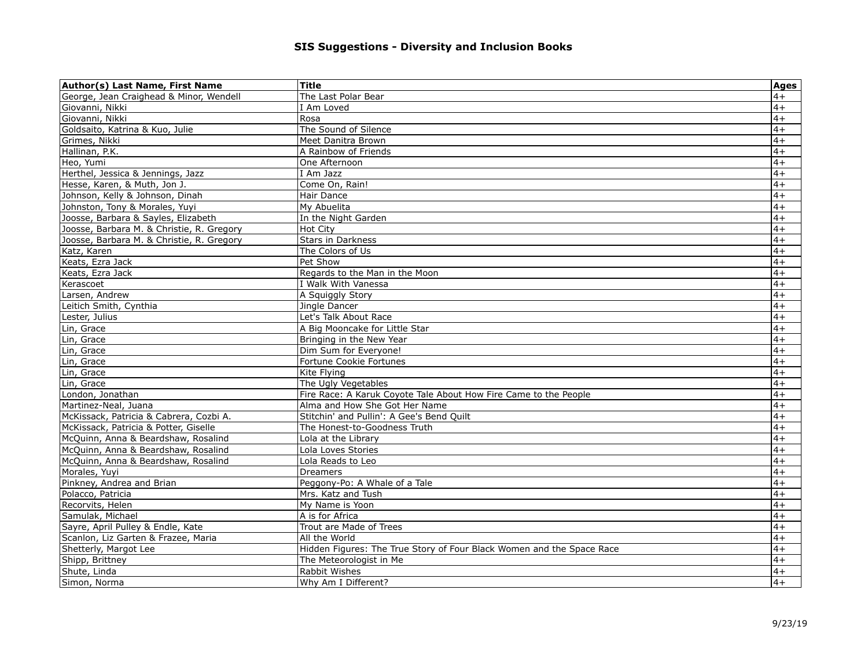| Author(s) Last Name, First Name           | <b>Title</b>                                                          | <b>Ages</b> |
|-------------------------------------------|-----------------------------------------------------------------------|-------------|
| George, Jean Craighead & Minor, Wendell   | The Last Polar Bear                                                   | $4+$        |
| Giovanni, Nikki                           | I Am Loved                                                            | $4+$        |
| Giovanni, Nikki                           | Rosa                                                                  | $4+$        |
| Goldsaito, Katrina & Kuo, Julie           | The Sound of Silence                                                  | $4+$        |
| Grimes, Nikki                             | Meet Danitra Brown                                                    | $4+$        |
| Hallinan, P.K.                            | A Rainbow of Friends                                                  | $4+$        |
| Heo, Yumi                                 | One Afternoon                                                         | $4+$        |
| Herthel, Jessica & Jennings, Jazz         | I Am Jazz                                                             | $4+$        |
| Hesse, Karen, & Muth, Jon J.              | Come On, Rain!                                                        | $4+$        |
| Johnson, Kelly & Johnson, Dinah           | Hair Dance                                                            | $4+$        |
| Johnston, Tony & Morales, Yuyi            | My Abuelita                                                           | $4+$        |
| Joosse, Barbara & Sayles, Elizabeth       | In the Night Garden                                                   | $4+$        |
| Joosse, Barbara M. & Christie, R. Gregory | <b>Hot City</b>                                                       | $4+$        |
| Joosse, Barbara M. & Christie, R. Gregory | Stars in Darkness                                                     | $4+$        |
| Katz, Karen                               | The Colors of Us                                                      | $4+$        |
| Keats, Ezra Jack                          | Pet Show                                                              | $4+$        |
| Keats, Ezra Jack                          | Regards to the Man in the Moon                                        | $4+$        |
| Kerascoet                                 | I Walk With Vanessa                                                   | $4+$        |
| Larsen, Andrew                            | A Squiggly Story                                                      | $4+$        |
| Leitich Smith, Cynthia                    | Jingle Dancer                                                         | $4+$        |
| Lester, Julius                            | Let's Talk About Race                                                 | $4+$        |
| Lin, Grace                                | A Big Mooncake for Little Star                                        | $4+$        |
| Lin, Grace                                | Bringing in the New Year                                              | $4+$        |
| Lin, Grace                                | Dim Sum for Everyone!                                                 | $4+$        |
| Lin, Grace                                | Fortune Cookie Fortunes                                               | $4+$        |
| Lin, Grace                                | Kite Flving                                                           | $4+$        |
| Lin, Grace                                | The Ugly Vegetables                                                   | $4+$        |
| London, Jonathan                          | Fire Race: A Karuk Coyote Tale About How Fire Came to the People      | $4+$        |
| Martinez-Neal, Juana                      | Alma and How She Got Her Name                                         | $4+$        |
| McKissack, Patricia & Cabrera, Cozbi A.   | Stitchin' and Pullin': A Gee's Bend Quilt                             | $4+$        |
| McKissack, Patricia & Potter, Giselle     | The Honest-to-Goodness Truth                                          | $4+$        |
| McQuinn, Anna & Beardshaw, Rosalind       | Lola at the Library                                                   | $4+$        |
| McQuinn, Anna & Beardshaw, Rosalind       | Lola Loves Stories                                                    | $4+$        |
| McQuinn, Anna & Beardshaw, Rosalind       | Lola Reads to Leo                                                     | $4+$        |
| Morales, Yuyi                             | <b>Dreamers</b>                                                       | $4+$        |
| Pinkney, Andrea and Brian                 | Peggony-Po: A Whale of a Tale                                         | $4+$        |
| Polacco, Patricia                         | Mrs. Katz and Tush                                                    | $4+$        |
| Recorvits, Helen                          | My Name is Yoon                                                       | $4+$        |
| Samulak, Michael                          | A is for Africa                                                       | $4+$        |
| Sayre, April Pulley & Endle, Kate         | Trout are Made of Trees                                               | $4+$        |
| Scanlon, Liz Garten & Frazee, Maria       | All the World                                                         | $4+$        |
| Shetterly, Margot Lee                     | Hidden Figures: The True Story of Four Black Women and the Space Race | $4+$        |
| Shipp, Brittney                           | The Meteorologist in Me                                               | $4+$        |
| Shute, Linda                              | Rabbit Wishes                                                         | $4+$        |
| Simon, Norma                              | Why Am I Different?                                                   | $4+$        |
|                                           |                                                                       |             |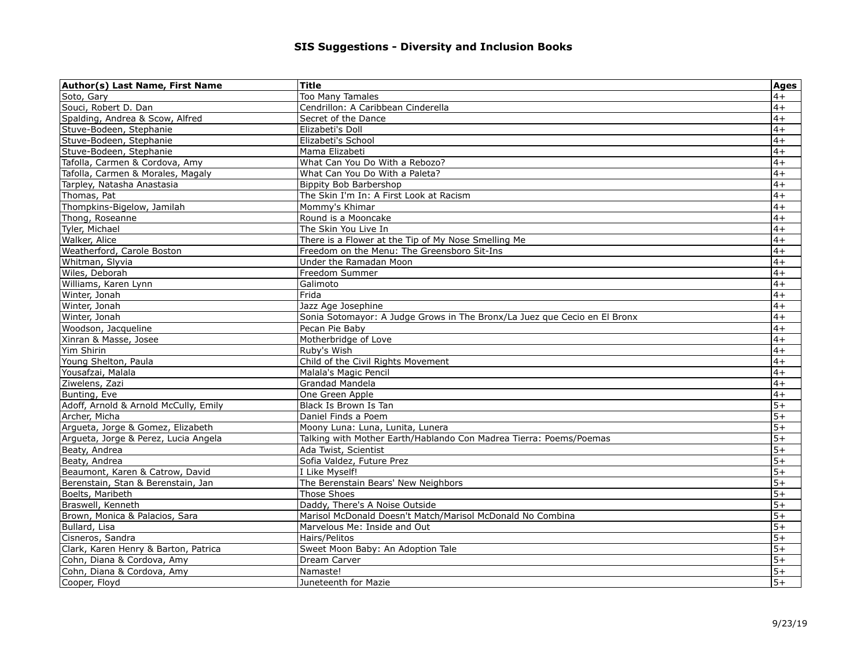| Author(s) Last Name, First Name       | Title                                                                     | <b>Ages</b> |
|---------------------------------------|---------------------------------------------------------------------------|-------------|
| Soto, Gary                            | Too Many Tamales                                                          | $4+$        |
| Souci, Robert D. Dan                  | Cendrillon: A Caribbean Cinderella                                        | $4+$        |
| Spalding, Andrea & Scow, Alfred       | Secret of the Dance                                                       | $4+$        |
| Stuve-Bodeen, Stephanie               | Elizabeti's Doll                                                          | $4+$        |
| Stuve-Bodeen, Stephanie               | Elizabeti's School                                                        | $4+$        |
| Stuve-Bodeen, Stephanie               | Mama Elizabeti                                                            | $4+$        |
| Tafolla, Carmen & Cordova, Amy        | What Can You Do With a Rebozo?                                            | $4+$        |
| Tafolla, Carmen & Morales, Magaly     | What Can You Do With a Paleta?                                            | $4+$        |
| Tarpley, Natasha Anastasia            | Bippity Bob Barbershop                                                    | $4+$        |
| Thomas, Pat                           | The Skin I'm In: A First Look at Racism                                   | $4+$        |
| Thompkins-Bigelow, Jamilah            | Mommy's Khimar                                                            | $4+$        |
| Thong, Roseanne                       | Round is a Mooncake                                                       | $4+$        |
| Tyler, Michael                        | The Skin You Live In                                                      | $4+$        |
| Walker, Alice                         | There is a Flower at the Tip of My Nose Smelling Me                       | $4+$        |
| Weatherford, Carole Boston            | Freedom on the Menu: The Greensboro Sit-Ins                               | $4+$        |
| Whitman, Slyvia                       | Under the Ramadan Moon                                                    | $4+$        |
| Wiles, Deborah                        | Freedom Summer                                                            | $4+$        |
| Williams, Karen Lynn                  | Galimoto                                                                  | $4+$        |
| Winter, Jonah                         | Frida                                                                     | $4+$        |
| Winter, Jonah                         | Jazz Age Josephine                                                        | $4+$        |
| Winter, Jonah                         | Sonia Sotomayor: A Judge Grows in The Bronx/La Juez que Cecio en El Bronx | $4+$        |
| Woodson, Jacqueline                   | Pecan Pie Baby                                                            | $4+$        |
| Xinran & Masse, Josee                 | Motherbridge of Love                                                      | $4+$        |
| Yim Shirin                            | Ruby's Wish                                                               | $4+$        |
| Young Shelton, Paula                  | Child of the Civil Rights Movement                                        | $4+$        |
| Yousafzai, Malala                     | Malala's Magic Pencil                                                     | $4+$        |
| Ziwelens, Zazi                        | Grandad Mandela                                                           | $4+$        |
| Bunting, Eve                          | One Green Apple                                                           | $4+$        |
| Adoff, Arnold & Arnold McCully, Emily | Black Is Brown Is Tan                                                     | $5+$        |
| Archer, Micha                         | Daniel Finds a Poem                                                       | $5+$        |
| Argueta, Jorge & Gomez, Elizabeth     | Moony Luna: Luna, Lunita, Lunera                                          | $5+$        |
| Argueta, Jorge & Perez, Lucia Angela  | Talking with Mother Earth/Hablando Con Madrea Tierra: Poems/Poemas        | $5+$        |
| Beaty, Andrea                         | Ada Twist, Scientist                                                      | $5+$        |
| Beaty, Andrea                         | Sofia Valdez, Future Prez                                                 | $5+$        |
| Beaumont, Karen & Catrow, David       | I Like Myself!                                                            | $5+$        |
| Berenstain, Stan & Berenstain, Jan    | The Berenstain Bears' New Neighbors                                       | $5+$        |
| Boelts, Maribeth                      | <b>Those Shoes</b>                                                        | $5+$        |
| Braswell, Kenneth                     | Daddy, There's A Noise Outside                                            | $5+$        |
| Brown, Monica & Palacios, Sara        | Marisol McDonald Doesn't Match/Marisol McDonald No Combina                | $5+$        |
| Bullard, Lisa                         | Marvelous Me: Inside and Out                                              | $5+$        |
| Cisneros, Sandra                      | Hairs/Pelitos                                                             | $5+$        |
| Clark, Karen Henry & Barton, Patrica  | Sweet Moon Baby: An Adoption Tale                                         | $5+$        |
| Cohn, Diana & Cordova, Amy            | Dream Carver                                                              | $5+$        |
| Cohn, Diana & Cordova, Amy            | Namaste!                                                                  | $5+$        |
| Cooper, Floyd                         | Juneteenth for Mazie                                                      | $5+$        |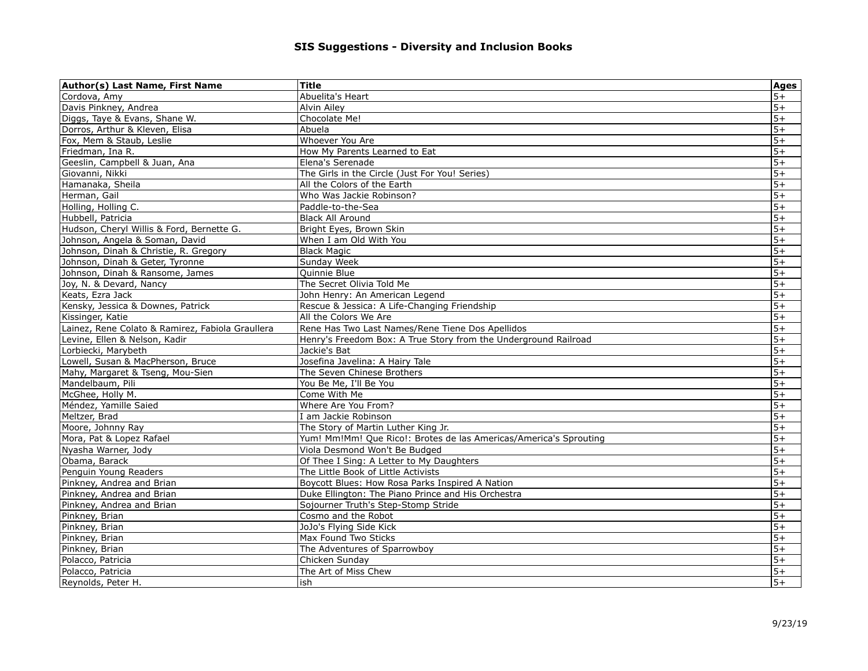| Author(s) Last Name, First Name                  | <b>Title</b>                                                      | <b>Ages</b> |
|--------------------------------------------------|-------------------------------------------------------------------|-------------|
| Cordova, Amv                                     | Abuelita's Heart                                                  | $5+$        |
| Davis Pinkney, Andrea                            | Alvin Ailey                                                       | $5+$        |
| Diggs, Taye & Evans, Shane W.                    | Chocolate Me!                                                     | $5+$        |
| Dorros, Arthur & Kleven, Elisa                   | Abuela                                                            | $5+$        |
| Fox, Mem & Staub, Leslie                         | Whoever You Are                                                   | $5+$        |
| Friedman, Ina R.                                 | How My Parents Learned to Eat                                     | $5+$        |
| Geeslin, Campbell & Juan, Ana                    | Elena's Serenade                                                  | $5+$        |
| Giovanni, Nikki                                  | The Girls in the Circle (Just For You! Series)                    | $5+$        |
| Hamanaka, Sheila                                 | All the Colors of the Earth                                       | $5+$        |
| Herman, Gail                                     | Who Was Jackie Robinson?                                          | $5+$        |
| Holling, Holling C.                              | Paddle-to-the-Sea                                                 | $5+$        |
| Hubbell, Patricia                                | <b>Black All Around</b>                                           | $5+$        |
| Hudson, Cheryl Willis & Ford, Bernette G.        | Bright Eyes, Brown Skin                                           | $5+$        |
| Johnson, Angela & Soman, David                   | When I am Old With You                                            | $5+$        |
| Johnson, Dinah & Christie, R. Gregory            | <b>Black Magic</b>                                                | $5+$        |
| Johnson, Dinah & Geter, Tyronne                  | Sunday Week                                                       | $5+$        |
| Johnson, Dinah & Ransome, James                  | Quinnie Blue                                                      | $5+$        |
| Joy, N. & Devard, Nancy                          | The Secret Olivia Told Me                                         | $5+$        |
| Keats, Ezra Jack                                 | John Henry: An American Legend                                    | $5+$        |
| Kensky, Jessica & Downes, Patrick                | Rescue & Jessica: A Life-Changing Friendship                      | $5+$        |
| Kissinger, Katie                                 | All the Colors We Are                                             | $5+$        |
| Lainez, Rene Colato & Ramirez, Fabiola Graullera | Rene Has Two Last Names/Rene Tiene Dos Apellidos                  | $5+$        |
| Levine, Ellen & Nelson, Kadir                    | Henry's Freedom Box: A True Story from the Underground Railroad   | $5+$        |
| Lorbiecki, Marybeth                              | Jackie's Bat                                                      | $5+$        |
| Lowell, Susan & MacPherson, Bruce                | Josefina Javelina: A Hairy Tale                                   | $5+$        |
| Mahy, Margaret & Tseng, Mou-Sien                 | The Seven Chinese Brothers                                        | $5+$        |
| Mandelbaum, Pili                                 | You Be Me, I'll Be You                                            | $5+$        |
| McGhee, Holly M.                                 | Come With Me                                                      | $5+$        |
| Méndez, Yamille Saied                            | Where Are You From?                                               | $5+$        |
| Meltzer, Brad                                    | I am Jackie Robinson                                              | $5+$        |
| Moore, Johnny Ray                                | The Story of Martin Luther King Jr.                               | $5+$        |
| Mora, Pat & Lopez Rafael                         | Yum! Mm!Mm! Que Rico!: Brotes de las Americas/America's Sprouting | $5+$        |
| Nyasha Warner, Jody                              | Viola Desmond Won't Be Budged                                     | $5+$        |
| Obama, Barack                                    | Of Thee I Sing: A Letter to My Daughters                          | $5+$        |
| Penguin Young Readers                            | The Little Book of Little Activists                               | $5+$        |
| Pinkney, Andrea and Brian                        | Boycott Blues: How Rosa Parks Inspired A Nation                   | $5+$        |
| Pinkney, Andrea and Brian                        | Duke Ellington: The Piano Prince and His Orchestra                | $5+$        |
| Pinkney, Andrea and Brian                        | Sojourner Truth's Step-Stomp Stride                               | $5+$        |
| Pinkney, Brian                                   | Cosmo and the Robot                                               | $5+$        |
| Pinkney, Brian                                   | JoJo's Flying Side Kick                                           | $5+$        |
| Pinkney, Brian                                   | Max Found Two Sticks                                              | $5+$        |
| Pinkney, Brian                                   | The Adventures of Sparrowboy                                      | $5+$        |
| Polacco, Patricia                                | Chicken Sundav                                                    | $5+$        |
| Polacco, Patricia                                | The Art of Miss Chew                                              | $5+$        |
| Reynolds, Peter H.                               | ish                                                               | $5+$        |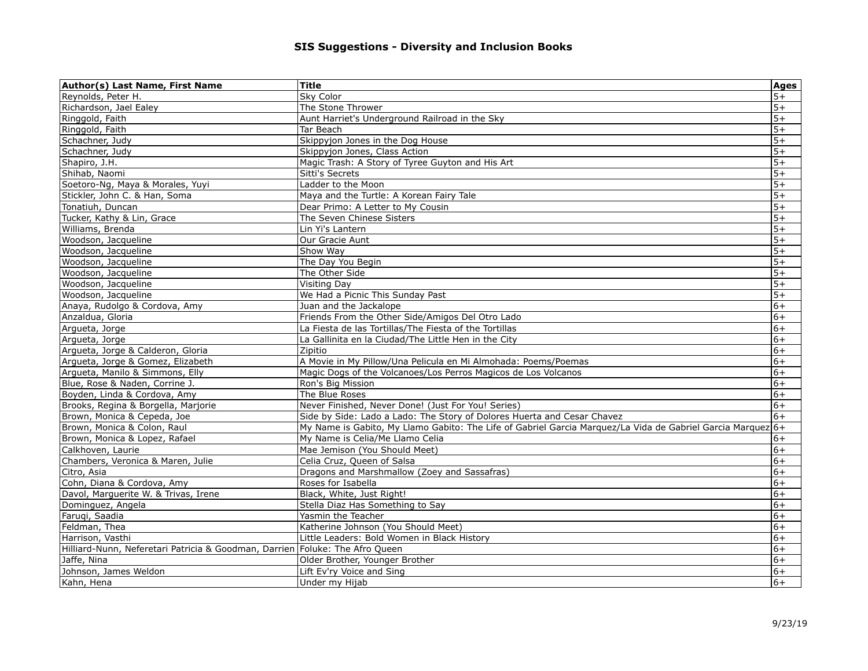| $5+$<br>Sky Color<br>Reynolds, Peter H.<br>The Stone Thrower<br>$5+$<br>Richardson, Jael Ealey<br>Ringgold, Faith<br>Aunt Harriet's Underground Railroad in the Sky<br>$5+$<br>Ringgold, Faith<br>$5+$<br>Tar Beach<br>$5+$<br>Schachner, Judy<br>Skippyjon Jones in the Dog House<br>$5+$<br>Skippyjon Jones, Class Action<br>Schachner, Judy<br>$5+$<br>Shapiro, J.H.<br>Magic Trash: A Story of Tyree Guyton and His Art<br>$5+$<br>Shihab, Naomi<br><b>Sitti's Secrets</b><br>Ladder to the Moon<br>$5+$<br>Soetoro-Ng, Maya & Morales, Yuyi<br>Maya and the Turtle: A Korean Fairy Tale<br>$5+$<br>Stickler, John C. & Han, Soma<br>$5+$<br>Tonatiuh, Duncan<br>Dear Primo: A Letter to My Cousin<br>$5+$<br>Tucker, Kathy & Lin, Grace<br>The Seven Chinese Sisters<br>$5+$<br>Williams, Brenda<br>Lin Yi's Lantern<br>$5+$<br>Woodson, Jacqueline<br>Our Gracie Aunt<br>$5+$<br>Woodson, Jacqueline<br>Show Way<br>$5+$<br>Woodson, Jacqueline<br>The Day You Begin<br>$5+$<br>Woodson, Jacqueline<br>The Other Side<br>$5+$<br><b>Visiting Day</b><br>Woodson, Jacqueline<br>$5+$<br>Woodson, Jacqueline<br>We Had a Picnic This Sunday Past<br>$6+$<br>Anaya, Rudolgo & Cordova, Amy<br>Juan and the Jackalope<br>$6+$<br>Friends From the Other Side/Amigos Del Otro Lado<br>Anzaldua, Gloria<br>La Fiesta de las Tortillas/The Fiesta of the Tortillas<br>$6+$<br>Arqueta, Jorge<br>$6+$<br>Arqueta, Jorge<br>La Gallinita en la Ciudad/The Little Hen in the City<br>$6+$<br>Argueta, Jorge & Calderon, Gloria<br>Zipitio<br>$6+$<br>Argueta, Jorge & Gomez, Elizabeth<br>A Movie in My Pillow/Una Pelicula en Mi Almohada: Poems/Poemas<br>$6+$<br>Argueta, Manilo & Simmons, Elly<br>Magic Dogs of the Volcanoes/Los Perros Magicos de Los Volcanos<br>Blue, Rose & Naden, Corrine J.<br>Ron's Big Mission<br>$6+$<br>The Blue Roses<br>$6+$<br>Boyden, Linda & Cordova, Amy<br>$6+$<br>Never Finished, Never Done! (Just For You! Series)<br>Brooks, Regina & Borgella, Marjorie<br>Side by Side: Lado a Lado: The Story of Dolores Huerta and Cesar Chavez<br>$6+$<br>Brown, Monica & Cepeda, Joe<br>My Name is Gabito, My Llamo Gabito: The Life of Gabriel Garcia Marquez/La Vida de Gabriel Garcia Marquez 6+<br>Brown, Monica & Colon, Raul<br>Brown, Monica & Lopez, Rafael<br>My Name is Celia/Me Llamo Celia<br>$6+$<br>$6+$<br>Calkhoven, Laurie<br>Mae Jemison (You Should Meet)<br>Chambers, Veronica & Maren, Julie<br>Celia Cruz, Queen of Salsa<br>$6+$<br>Dragons and Marshmallow (Zoey and Sassafras)<br>$6+$<br>Citro, Asia<br>Cohn, Diana & Cordova, Amy<br>$6+$<br>Roses for Isabella<br>$6+$<br>Davol, Marguerite W. & Trivas, Irene<br>Black, White, Just Right!<br>$6+$<br>Dominguez, Angela<br>Stella Diaz Has Something to Say<br>$6+$<br>Farugi, Saadia<br>Yasmin the Teacher<br>$6+$<br>Feldman, Thea<br>Katherine Johnson (You Should Meet)<br>Harrison, Vasthi<br>Little Leaders: Bold Women in Black History<br>$6+$<br>Hilliard-Nunn, Neferetari Patricia & Goodman, Darrien Foluke: The Afro Queen<br>$6+$<br>Jaffe, Nina<br>Older Brother, Younger Brother<br>$6+$<br>Johnson, James Weldon<br>$6+$<br>Lift Ev'ry Voice and Sing<br>$6+$<br>Under my Hijab<br>Kahn, Hena | Author(s) Last Name, First Name | <b>Title</b> | <b>Ages</b> |
|-------------------------------------------------------------------------------------------------------------------------------------------------------------------------------------------------------------------------------------------------------------------------------------------------------------------------------------------------------------------------------------------------------------------------------------------------------------------------------------------------------------------------------------------------------------------------------------------------------------------------------------------------------------------------------------------------------------------------------------------------------------------------------------------------------------------------------------------------------------------------------------------------------------------------------------------------------------------------------------------------------------------------------------------------------------------------------------------------------------------------------------------------------------------------------------------------------------------------------------------------------------------------------------------------------------------------------------------------------------------------------------------------------------------------------------------------------------------------------------------------------------------------------------------------------------------------------------------------------------------------------------------------------------------------------------------------------------------------------------------------------------------------------------------------------------------------------------------------------------------------------------------------------------------------------------------------------------------------------------------------------------------------------------------------------------------------------------------------------------------------------------------------------------------------------------------------------------------------------------------------------------------------------------------------------------------------------------------------------------------------------------------------------------------------------------------------------------------------------------------------------------------------------------------------------------------------------------------------------------------------------------------------------------------------------------------------------------------------------------------------------------------------------------------------------------------------------------------------------------------------------------------------------------------------------------------------------------------------------------------------------------------------------------------------------------------------------------------------------------------------------------------------------------------------------------------------------------------------|---------------------------------|--------------|-------------|
|                                                                                                                                                                                                                                                                                                                                                                                                                                                                                                                                                                                                                                                                                                                                                                                                                                                                                                                                                                                                                                                                                                                                                                                                                                                                                                                                                                                                                                                                                                                                                                                                                                                                                                                                                                                                                                                                                                                                                                                                                                                                                                                                                                                                                                                                                                                                                                                                                                                                                                                                                                                                                                                                                                                                                                                                                                                                                                                                                                                                                                                                                                                                                                                                                         |                                 |              |             |
|                                                                                                                                                                                                                                                                                                                                                                                                                                                                                                                                                                                                                                                                                                                                                                                                                                                                                                                                                                                                                                                                                                                                                                                                                                                                                                                                                                                                                                                                                                                                                                                                                                                                                                                                                                                                                                                                                                                                                                                                                                                                                                                                                                                                                                                                                                                                                                                                                                                                                                                                                                                                                                                                                                                                                                                                                                                                                                                                                                                                                                                                                                                                                                                                                         |                                 |              |             |
|                                                                                                                                                                                                                                                                                                                                                                                                                                                                                                                                                                                                                                                                                                                                                                                                                                                                                                                                                                                                                                                                                                                                                                                                                                                                                                                                                                                                                                                                                                                                                                                                                                                                                                                                                                                                                                                                                                                                                                                                                                                                                                                                                                                                                                                                                                                                                                                                                                                                                                                                                                                                                                                                                                                                                                                                                                                                                                                                                                                                                                                                                                                                                                                                                         |                                 |              |             |
|                                                                                                                                                                                                                                                                                                                                                                                                                                                                                                                                                                                                                                                                                                                                                                                                                                                                                                                                                                                                                                                                                                                                                                                                                                                                                                                                                                                                                                                                                                                                                                                                                                                                                                                                                                                                                                                                                                                                                                                                                                                                                                                                                                                                                                                                                                                                                                                                                                                                                                                                                                                                                                                                                                                                                                                                                                                                                                                                                                                                                                                                                                                                                                                                                         |                                 |              |             |
|                                                                                                                                                                                                                                                                                                                                                                                                                                                                                                                                                                                                                                                                                                                                                                                                                                                                                                                                                                                                                                                                                                                                                                                                                                                                                                                                                                                                                                                                                                                                                                                                                                                                                                                                                                                                                                                                                                                                                                                                                                                                                                                                                                                                                                                                                                                                                                                                                                                                                                                                                                                                                                                                                                                                                                                                                                                                                                                                                                                                                                                                                                                                                                                                                         |                                 |              |             |
|                                                                                                                                                                                                                                                                                                                                                                                                                                                                                                                                                                                                                                                                                                                                                                                                                                                                                                                                                                                                                                                                                                                                                                                                                                                                                                                                                                                                                                                                                                                                                                                                                                                                                                                                                                                                                                                                                                                                                                                                                                                                                                                                                                                                                                                                                                                                                                                                                                                                                                                                                                                                                                                                                                                                                                                                                                                                                                                                                                                                                                                                                                                                                                                                                         |                                 |              |             |
|                                                                                                                                                                                                                                                                                                                                                                                                                                                                                                                                                                                                                                                                                                                                                                                                                                                                                                                                                                                                                                                                                                                                                                                                                                                                                                                                                                                                                                                                                                                                                                                                                                                                                                                                                                                                                                                                                                                                                                                                                                                                                                                                                                                                                                                                                                                                                                                                                                                                                                                                                                                                                                                                                                                                                                                                                                                                                                                                                                                                                                                                                                                                                                                                                         |                                 |              |             |
|                                                                                                                                                                                                                                                                                                                                                                                                                                                                                                                                                                                                                                                                                                                                                                                                                                                                                                                                                                                                                                                                                                                                                                                                                                                                                                                                                                                                                                                                                                                                                                                                                                                                                                                                                                                                                                                                                                                                                                                                                                                                                                                                                                                                                                                                                                                                                                                                                                                                                                                                                                                                                                                                                                                                                                                                                                                                                                                                                                                                                                                                                                                                                                                                                         |                                 |              |             |
|                                                                                                                                                                                                                                                                                                                                                                                                                                                                                                                                                                                                                                                                                                                                                                                                                                                                                                                                                                                                                                                                                                                                                                                                                                                                                                                                                                                                                                                                                                                                                                                                                                                                                                                                                                                                                                                                                                                                                                                                                                                                                                                                                                                                                                                                                                                                                                                                                                                                                                                                                                                                                                                                                                                                                                                                                                                                                                                                                                                                                                                                                                                                                                                                                         |                                 |              |             |
|                                                                                                                                                                                                                                                                                                                                                                                                                                                                                                                                                                                                                                                                                                                                                                                                                                                                                                                                                                                                                                                                                                                                                                                                                                                                                                                                                                                                                                                                                                                                                                                                                                                                                                                                                                                                                                                                                                                                                                                                                                                                                                                                                                                                                                                                                                                                                                                                                                                                                                                                                                                                                                                                                                                                                                                                                                                                                                                                                                                                                                                                                                                                                                                                                         |                                 |              |             |
|                                                                                                                                                                                                                                                                                                                                                                                                                                                                                                                                                                                                                                                                                                                                                                                                                                                                                                                                                                                                                                                                                                                                                                                                                                                                                                                                                                                                                                                                                                                                                                                                                                                                                                                                                                                                                                                                                                                                                                                                                                                                                                                                                                                                                                                                                                                                                                                                                                                                                                                                                                                                                                                                                                                                                                                                                                                                                                                                                                                                                                                                                                                                                                                                                         |                                 |              |             |
|                                                                                                                                                                                                                                                                                                                                                                                                                                                                                                                                                                                                                                                                                                                                                                                                                                                                                                                                                                                                                                                                                                                                                                                                                                                                                                                                                                                                                                                                                                                                                                                                                                                                                                                                                                                                                                                                                                                                                                                                                                                                                                                                                                                                                                                                                                                                                                                                                                                                                                                                                                                                                                                                                                                                                                                                                                                                                                                                                                                                                                                                                                                                                                                                                         |                                 |              |             |
|                                                                                                                                                                                                                                                                                                                                                                                                                                                                                                                                                                                                                                                                                                                                                                                                                                                                                                                                                                                                                                                                                                                                                                                                                                                                                                                                                                                                                                                                                                                                                                                                                                                                                                                                                                                                                                                                                                                                                                                                                                                                                                                                                                                                                                                                                                                                                                                                                                                                                                                                                                                                                                                                                                                                                                                                                                                                                                                                                                                                                                                                                                                                                                                                                         |                                 |              |             |
|                                                                                                                                                                                                                                                                                                                                                                                                                                                                                                                                                                                                                                                                                                                                                                                                                                                                                                                                                                                                                                                                                                                                                                                                                                                                                                                                                                                                                                                                                                                                                                                                                                                                                                                                                                                                                                                                                                                                                                                                                                                                                                                                                                                                                                                                                                                                                                                                                                                                                                                                                                                                                                                                                                                                                                                                                                                                                                                                                                                                                                                                                                                                                                                                                         |                                 |              |             |
|                                                                                                                                                                                                                                                                                                                                                                                                                                                                                                                                                                                                                                                                                                                                                                                                                                                                                                                                                                                                                                                                                                                                                                                                                                                                                                                                                                                                                                                                                                                                                                                                                                                                                                                                                                                                                                                                                                                                                                                                                                                                                                                                                                                                                                                                                                                                                                                                                                                                                                                                                                                                                                                                                                                                                                                                                                                                                                                                                                                                                                                                                                                                                                                                                         |                                 |              |             |
|                                                                                                                                                                                                                                                                                                                                                                                                                                                                                                                                                                                                                                                                                                                                                                                                                                                                                                                                                                                                                                                                                                                                                                                                                                                                                                                                                                                                                                                                                                                                                                                                                                                                                                                                                                                                                                                                                                                                                                                                                                                                                                                                                                                                                                                                                                                                                                                                                                                                                                                                                                                                                                                                                                                                                                                                                                                                                                                                                                                                                                                                                                                                                                                                                         |                                 |              |             |
|                                                                                                                                                                                                                                                                                                                                                                                                                                                                                                                                                                                                                                                                                                                                                                                                                                                                                                                                                                                                                                                                                                                                                                                                                                                                                                                                                                                                                                                                                                                                                                                                                                                                                                                                                                                                                                                                                                                                                                                                                                                                                                                                                                                                                                                                                                                                                                                                                                                                                                                                                                                                                                                                                                                                                                                                                                                                                                                                                                                                                                                                                                                                                                                                                         |                                 |              |             |
|                                                                                                                                                                                                                                                                                                                                                                                                                                                                                                                                                                                                                                                                                                                                                                                                                                                                                                                                                                                                                                                                                                                                                                                                                                                                                                                                                                                                                                                                                                                                                                                                                                                                                                                                                                                                                                                                                                                                                                                                                                                                                                                                                                                                                                                                                                                                                                                                                                                                                                                                                                                                                                                                                                                                                                                                                                                                                                                                                                                                                                                                                                                                                                                                                         |                                 |              |             |
|                                                                                                                                                                                                                                                                                                                                                                                                                                                                                                                                                                                                                                                                                                                                                                                                                                                                                                                                                                                                                                                                                                                                                                                                                                                                                                                                                                                                                                                                                                                                                                                                                                                                                                                                                                                                                                                                                                                                                                                                                                                                                                                                                                                                                                                                                                                                                                                                                                                                                                                                                                                                                                                                                                                                                                                                                                                                                                                                                                                                                                                                                                                                                                                                                         |                                 |              |             |
|                                                                                                                                                                                                                                                                                                                                                                                                                                                                                                                                                                                                                                                                                                                                                                                                                                                                                                                                                                                                                                                                                                                                                                                                                                                                                                                                                                                                                                                                                                                                                                                                                                                                                                                                                                                                                                                                                                                                                                                                                                                                                                                                                                                                                                                                                                                                                                                                                                                                                                                                                                                                                                                                                                                                                                                                                                                                                                                                                                                                                                                                                                                                                                                                                         |                                 |              |             |
|                                                                                                                                                                                                                                                                                                                                                                                                                                                                                                                                                                                                                                                                                                                                                                                                                                                                                                                                                                                                                                                                                                                                                                                                                                                                                                                                                                                                                                                                                                                                                                                                                                                                                                                                                                                                                                                                                                                                                                                                                                                                                                                                                                                                                                                                                                                                                                                                                                                                                                                                                                                                                                                                                                                                                                                                                                                                                                                                                                                                                                                                                                                                                                                                                         |                                 |              |             |
|                                                                                                                                                                                                                                                                                                                                                                                                                                                                                                                                                                                                                                                                                                                                                                                                                                                                                                                                                                                                                                                                                                                                                                                                                                                                                                                                                                                                                                                                                                                                                                                                                                                                                                                                                                                                                                                                                                                                                                                                                                                                                                                                                                                                                                                                                                                                                                                                                                                                                                                                                                                                                                                                                                                                                                                                                                                                                                                                                                                                                                                                                                                                                                                                                         |                                 |              |             |
|                                                                                                                                                                                                                                                                                                                                                                                                                                                                                                                                                                                                                                                                                                                                                                                                                                                                                                                                                                                                                                                                                                                                                                                                                                                                                                                                                                                                                                                                                                                                                                                                                                                                                                                                                                                                                                                                                                                                                                                                                                                                                                                                                                                                                                                                                                                                                                                                                                                                                                                                                                                                                                                                                                                                                                                                                                                                                                                                                                                                                                                                                                                                                                                                                         |                                 |              |             |
|                                                                                                                                                                                                                                                                                                                                                                                                                                                                                                                                                                                                                                                                                                                                                                                                                                                                                                                                                                                                                                                                                                                                                                                                                                                                                                                                                                                                                                                                                                                                                                                                                                                                                                                                                                                                                                                                                                                                                                                                                                                                                                                                                                                                                                                                                                                                                                                                                                                                                                                                                                                                                                                                                                                                                                                                                                                                                                                                                                                                                                                                                                                                                                                                                         |                                 |              |             |
|                                                                                                                                                                                                                                                                                                                                                                                                                                                                                                                                                                                                                                                                                                                                                                                                                                                                                                                                                                                                                                                                                                                                                                                                                                                                                                                                                                                                                                                                                                                                                                                                                                                                                                                                                                                                                                                                                                                                                                                                                                                                                                                                                                                                                                                                                                                                                                                                                                                                                                                                                                                                                                                                                                                                                                                                                                                                                                                                                                                                                                                                                                                                                                                                                         |                                 |              |             |
|                                                                                                                                                                                                                                                                                                                                                                                                                                                                                                                                                                                                                                                                                                                                                                                                                                                                                                                                                                                                                                                                                                                                                                                                                                                                                                                                                                                                                                                                                                                                                                                                                                                                                                                                                                                                                                                                                                                                                                                                                                                                                                                                                                                                                                                                                                                                                                                                                                                                                                                                                                                                                                                                                                                                                                                                                                                                                                                                                                                                                                                                                                                                                                                                                         |                                 |              |             |
|                                                                                                                                                                                                                                                                                                                                                                                                                                                                                                                                                                                                                                                                                                                                                                                                                                                                                                                                                                                                                                                                                                                                                                                                                                                                                                                                                                                                                                                                                                                                                                                                                                                                                                                                                                                                                                                                                                                                                                                                                                                                                                                                                                                                                                                                                                                                                                                                                                                                                                                                                                                                                                                                                                                                                                                                                                                                                                                                                                                                                                                                                                                                                                                                                         |                                 |              |             |
|                                                                                                                                                                                                                                                                                                                                                                                                                                                                                                                                                                                                                                                                                                                                                                                                                                                                                                                                                                                                                                                                                                                                                                                                                                                                                                                                                                                                                                                                                                                                                                                                                                                                                                                                                                                                                                                                                                                                                                                                                                                                                                                                                                                                                                                                                                                                                                                                                                                                                                                                                                                                                                                                                                                                                                                                                                                                                                                                                                                                                                                                                                                                                                                                                         |                                 |              |             |
|                                                                                                                                                                                                                                                                                                                                                                                                                                                                                                                                                                                                                                                                                                                                                                                                                                                                                                                                                                                                                                                                                                                                                                                                                                                                                                                                                                                                                                                                                                                                                                                                                                                                                                                                                                                                                                                                                                                                                                                                                                                                                                                                                                                                                                                                                                                                                                                                                                                                                                                                                                                                                                                                                                                                                                                                                                                                                                                                                                                                                                                                                                                                                                                                                         |                                 |              |             |
|                                                                                                                                                                                                                                                                                                                                                                                                                                                                                                                                                                                                                                                                                                                                                                                                                                                                                                                                                                                                                                                                                                                                                                                                                                                                                                                                                                                                                                                                                                                                                                                                                                                                                                                                                                                                                                                                                                                                                                                                                                                                                                                                                                                                                                                                                                                                                                                                                                                                                                                                                                                                                                                                                                                                                                                                                                                                                                                                                                                                                                                                                                                                                                                                                         |                                 |              |             |
|                                                                                                                                                                                                                                                                                                                                                                                                                                                                                                                                                                                                                                                                                                                                                                                                                                                                                                                                                                                                                                                                                                                                                                                                                                                                                                                                                                                                                                                                                                                                                                                                                                                                                                                                                                                                                                                                                                                                                                                                                                                                                                                                                                                                                                                                                                                                                                                                                                                                                                                                                                                                                                                                                                                                                                                                                                                                                                                                                                                                                                                                                                                                                                                                                         |                                 |              |             |
|                                                                                                                                                                                                                                                                                                                                                                                                                                                                                                                                                                                                                                                                                                                                                                                                                                                                                                                                                                                                                                                                                                                                                                                                                                                                                                                                                                                                                                                                                                                                                                                                                                                                                                                                                                                                                                                                                                                                                                                                                                                                                                                                                                                                                                                                                                                                                                                                                                                                                                                                                                                                                                                                                                                                                                                                                                                                                                                                                                                                                                                                                                                                                                                                                         |                                 |              |             |
|                                                                                                                                                                                                                                                                                                                                                                                                                                                                                                                                                                                                                                                                                                                                                                                                                                                                                                                                                                                                                                                                                                                                                                                                                                                                                                                                                                                                                                                                                                                                                                                                                                                                                                                                                                                                                                                                                                                                                                                                                                                                                                                                                                                                                                                                                                                                                                                                                                                                                                                                                                                                                                                                                                                                                                                                                                                                                                                                                                                                                                                                                                                                                                                                                         |                                 |              |             |
|                                                                                                                                                                                                                                                                                                                                                                                                                                                                                                                                                                                                                                                                                                                                                                                                                                                                                                                                                                                                                                                                                                                                                                                                                                                                                                                                                                                                                                                                                                                                                                                                                                                                                                                                                                                                                                                                                                                                                                                                                                                                                                                                                                                                                                                                                                                                                                                                                                                                                                                                                                                                                                                                                                                                                                                                                                                                                                                                                                                                                                                                                                                                                                                                                         |                                 |              |             |
|                                                                                                                                                                                                                                                                                                                                                                                                                                                                                                                                                                                                                                                                                                                                                                                                                                                                                                                                                                                                                                                                                                                                                                                                                                                                                                                                                                                                                                                                                                                                                                                                                                                                                                                                                                                                                                                                                                                                                                                                                                                                                                                                                                                                                                                                                                                                                                                                                                                                                                                                                                                                                                                                                                                                                                                                                                                                                                                                                                                                                                                                                                                                                                                                                         |                                 |              |             |
|                                                                                                                                                                                                                                                                                                                                                                                                                                                                                                                                                                                                                                                                                                                                                                                                                                                                                                                                                                                                                                                                                                                                                                                                                                                                                                                                                                                                                                                                                                                                                                                                                                                                                                                                                                                                                                                                                                                                                                                                                                                                                                                                                                                                                                                                                                                                                                                                                                                                                                                                                                                                                                                                                                                                                                                                                                                                                                                                                                                                                                                                                                                                                                                                                         |                                 |              |             |
|                                                                                                                                                                                                                                                                                                                                                                                                                                                                                                                                                                                                                                                                                                                                                                                                                                                                                                                                                                                                                                                                                                                                                                                                                                                                                                                                                                                                                                                                                                                                                                                                                                                                                                                                                                                                                                                                                                                                                                                                                                                                                                                                                                                                                                                                                                                                                                                                                                                                                                                                                                                                                                                                                                                                                                                                                                                                                                                                                                                                                                                                                                                                                                                                                         |                                 |              |             |
|                                                                                                                                                                                                                                                                                                                                                                                                                                                                                                                                                                                                                                                                                                                                                                                                                                                                                                                                                                                                                                                                                                                                                                                                                                                                                                                                                                                                                                                                                                                                                                                                                                                                                                                                                                                                                                                                                                                                                                                                                                                                                                                                                                                                                                                                                                                                                                                                                                                                                                                                                                                                                                                                                                                                                                                                                                                                                                                                                                                                                                                                                                                                                                                                                         |                                 |              |             |
|                                                                                                                                                                                                                                                                                                                                                                                                                                                                                                                                                                                                                                                                                                                                                                                                                                                                                                                                                                                                                                                                                                                                                                                                                                                                                                                                                                                                                                                                                                                                                                                                                                                                                                                                                                                                                                                                                                                                                                                                                                                                                                                                                                                                                                                                                                                                                                                                                                                                                                                                                                                                                                                                                                                                                                                                                                                                                                                                                                                                                                                                                                                                                                                                                         |                                 |              |             |
|                                                                                                                                                                                                                                                                                                                                                                                                                                                                                                                                                                                                                                                                                                                                                                                                                                                                                                                                                                                                                                                                                                                                                                                                                                                                                                                                                                                                                                                                                                                                                                                                                                                                                                                                                                                                                                                                                                                                                                                                                                                                                                                                                                                                                                                                                                                                                                                                                                                                                                                                                                                                                                                                                                                                                                                                                                                                                                                                                                                                                                                                                                                                                                                                                         |                                 |              |             |
|                                                                                                                                                                                                                                                                                                                                                                                                                                                                                                                                                                                                                                                                                                                                                                                                                                                                                                                                                                                                                                                                                                                                                                                                                                                                                                                                                                                                                                                                                                                                                                                                                                                                                                                                                                                                                                                                                                                                                                                                                                                                                                                                                                                                                                                                                                                                                                                                                                                                                                                                                                                                                                                                                                                                                                                                                                                                                                                                                                                                                                                                                                                                                                                                                         |                                 |              |             |
|                                                                                                                                                                                                                                                                                                                                                                                                                                                                                                                                                                                                                                                                                                                                                                                                                                                                                                                                                                                                                                                                                                                                                                                                                                                                                                                                                                                                                                                                                                                                                                                                                                                                                                                                                                                                                                                                                                                                                                                                                                                                                                                                                                                                                                                                                                                                                                                                                                                                                                                                                                                                                                                                                                                                                                                                                                                                                                                                                                                                                                                                                                                                                                                                                         |                                 |              |             |
|                                                                                                                                                                                                                                                                                                                                                                                                                                                                                                                                                                                                                                                                                                                                                                                                                                                                                                                                                                                                                                                                                                                                                                                                                                                                                                                                                                                                                                                                                                                                                                                                                                                                                                                                                                                                                                                                                                                                                                                                                                                                                                                                                                                                                                                                                                                                                                                                                                                                                                                                                                                                                                                                                                                                                                                                                                                                                                                                                                                                                                                                                                                                                                                                                         |                                 |              |             |
|                                                                                                                                                                                                                                                                                                                                                                                                                                                                                                                                                                                                                                                                                                                                                                                                                                                                                                                                                                                                                                                                                                                                                                                                                                                                                                                                                                                                                                                                                                                                                                                                                                                                                                                                                                                                                                                                                                                                                                                                                                                                                                                                                                                                                                                                                                                                                                                                                                                                                                                                                                                                                                                                                                                                                                                                                                                                                                                                                                                                                                                                                                                                                                                                                         |                                 |              |             |
|                                                                                                                                                                                                                                                                                                                                                                                                                                                                                                                                                                                                                                                                                                                                                                                                                                                                                                                                                                                                                                                                                                                                                                                                                                                                                                                                                                                                                                                                                                                                                                                                                                                                                                                                                                                                                                                                                                                                                                                                                                                                                                                                                                                                                                                                                                                                                                                                                                                                                                                                                                                                                                                                                                                                                                                                                                                                                                                                                                                                                                                                                                                                                                                                                         |                                 |              |             |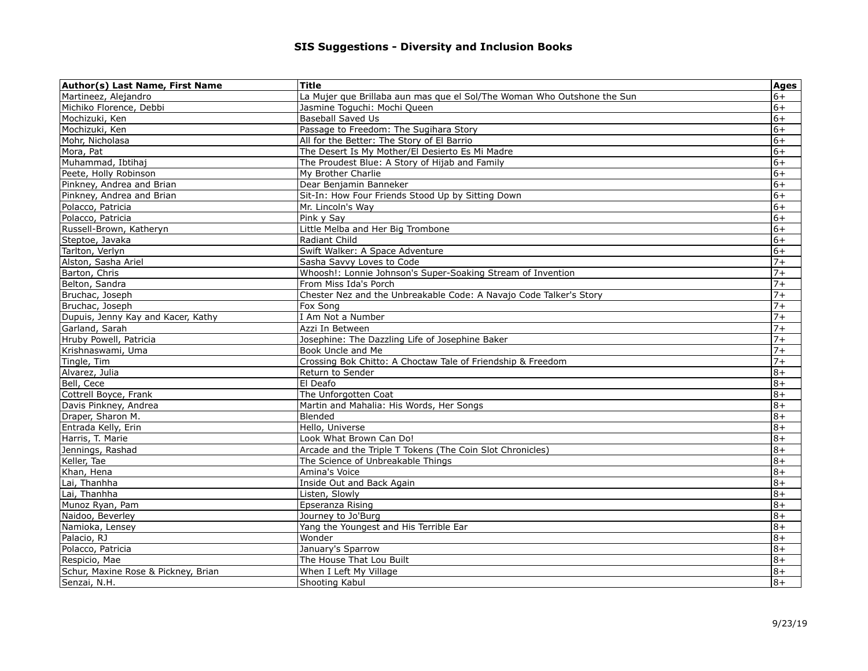| Martineez, Alejandro<br>La Mujer que Brillaba aun mas que el Sol/The Woman Who Outshone the Sun<br>$6+$<br>Michiko Florence, Debbi<br>Jasmine Toguchi: Mochi Queen<br>$6+$<br>$6+$<br>Mochizuki, Ken<br><b>Baseball Saved Us</b><br>Mochizuki, Ken<br>Passage to Freedom: The Sugihara Story<br>$6+$<br>Mohr, Nicholasa<br>All for the Better: The Story of El Barrio<br>$6+$<br>The Desert Is My Mother/El Desierto Es Mi Madre<br>Mora, Pat<br>$6+$<br>Muhammad, Ibtihaj<br>The Proudest Blue: A Story of Hijab and Family<br>$6+$<br>Peete, Holly Robinson<br>$6+$<br>My Brother Charlie<br>$6+$<br>Pinkney, Andrea and Brian<br>Dear Benjamin Banneker<br>Pinkney, Andrea and Brian<br>Sit-In: How Four Friends Stood Up by Sitting Down<br>$6+$<br>Polacco, Patricia<br>$6+$<br>Mr. Lincoln's Way<br>Polacco, Patricia<br>Pink y Say<br>$6+$<br>Russell-Brown, Katheryn<br>Little Melba and Her Big Trombone<br>$6+$<br>Steptoe, Javaka<br>Radiant Child<br>$6+$<br>Swift Walker: A Space Adventure<br>Tarlton, Verlyn<br>$6+$<br>$7+$<br>Alston, Sasha Ariel<br>Sasha Savvy Loves to Code<br>Whoosh!: Lonnie Johnson's Super-Soaking Stream of Invention<br>$7+$<br>Barton, Chris<br>$7+$<br>Belton, Sandra<br>From Miss Ida's Porch<br>$7+$<br>Bruchac, Joseph<br>Chester Nez and the Unbreakable Code: A Navajo Code Talker's Story<br>Bruchac, Joseph<br>$7+$<br>Fox Song<br>I Am Not a Number<br>$7+$<br>Dupuis, Jenny Kay and Kacer, Kathy |
|-------------------------------------------------------------------------------------------------------------------------------------------------------------------------------------------------------------------------------------------------------------------------------------------------------------------------------------------------------------------------------------------------------------------------------------------------------------------------------------------------------------------------------------------------------------------------------------------------------------------------------------------------------------------------------------------------------------------------------------------------------------------------------------------------------------------------------------------------------------------------------------------------------------------------------------------------------------------------------------------------------------------------------------------------------------------------------------------------------------------------------------------------------------------------------------------------------------------------------------------------------------------------------------------------------------------------------------------------------------------------------------------------------------------------------------------------------|
|                                                                                                                                                                                                                                                                                                                                                                                                                                                                                                                                                                                                                                                                                                                                                                                                                                                                                                                                                                                                                                                                                                                                                                                                                                                                                                                                                                                                                                                       |
|                                                                                                                                                                                                                                                                                                                                                                                                                                                                                                                                                                                                                                                                                                                                                                                                                                                                                                                                                                                                                                                                                                                                                                                                                                                                                                                                                                                                                                                       |
|                                                                                                                                                                                                                                                                                                                                                                                                                                                                                                                                                                                                                                                                                                                                                                                                                                                                                                                                                                                                                                                                                                                                                                                                                                                                                                                                                                                                                                                       |
|                                                                                                                                                                                                                                                                                                                                                                                                                                                                                                                                                                                                                                                                                                                                                                                                                                                                                                                                                                                                                                                                                                                                                                                                                                                                                                                                                                                                                                                       |
|                                                                                                                                                                                                                                                                                                                                                                                                                                                                                                                                                                                                                                                                                                                                                                                                                                                                                                                                                                                                                                                                                                                                                                                                                                                                                                                                                                                                                                                       |
|                                                                                                                                                                                                                                                                                                                                                                                                                                                                                                                                                                                                                                                                                                                                                                                                                                                                                                                                                                                                                                                                                                                                                                                                                                                                                                                                                                                                                                                       |
|                                                                                                                                                                                                                                                                                                                                                                                                                                                                                                                                                                                                                                                                                                                                                                                                                                                                                                                                                                                                                                                                                                                                                                                                                                                                                                                                                                                                                                                       |
|                                                                                                                                                                                                                                                                                                                                                                                                                                                                                                                                                                                                                                                                                                                                                                                                                                                                                                                                                                                                                                                                                                                                                                                                                                                                                                                                                                                                                                                       |
|                                                                                                                                                                                                                                                                                                                                                                                                                                                                                                                                                                                                                                                                                                                                                                                                                                                                                                                                                                                                                                                                                                                                                                                                                                                                                                                                                                                                                                                       |
|                                                                                                                                                                                                                                                                                                                                                                                                                                                                                                                                                                                                                                                                                                                                                                                                                                                                                                                                                                                                                                                                                                                                                                                                                                                                                                                                                                                                                                                       |
|                                                                                                                                                                                                                                                                                                                                                                                                                                                                                                                                                                                                                                                                                                                                                                                                                                                                                                                                                                                                                                                                                                                                                                                                                                                                                                                                                                                                                                                       |
|                                                                                                                                                                                                                                                                                                                                                                                                                                                                                                                                                                                                                                                                                                                                                                                                                                                                                                                                                                                                                                                                                                                                                                                                                                                                                                                                                                                                                                                       |
|                                                                                                                                                                                                                                                                                                                                                                                                                                                                                                                                                                                                                                                                                                                                                                                                                                                                                                                                                                                                                                                                                                                                                                                                                                                                                                                                                                                                                                                       |
|                                                                                                                                                                                                                                                                                                                                                                                                                                                                                                                                                                                                                                                                                                                                                                                                                                                                                                                                                                                                                                                                                                                                                                                                                                                                                                                                                                                                                                                       |
|                                                                                                                                                                                                                                                                                                                                                                                                                                                                                                                                                                                                                                                                                                                                                                                                                                                                                                                                                                                                                                                                                                                                                                                                                                                                                                                                                                                                                                                       |
|                                                                                                                                                                                                                                                                                                                                                                                                                                                                                                                                                                                                                                                                                                                                                                                                                                                                                                                                                                                                                                                                                                                                                                                                                                                                                                                                                                                                                                                       |
|                                                                                                                                                                                                                                                                                                                                                                                                                                                                                                                                                                                                                                                                                                                                                                                                                                                                                                                                                                                                                                                                                                                                                                                                                                                                                                                                                                                                                                                       |
|                                                                                                                                                                                                                                                                                                                                                                                                                                                                                                                                                                                                                                                                                                                                                                                                                                                                                                                                                                                                                                                                                                                                                                                                                                                                                                                                                                                                                                                       |
|                                                                                                                                                                                                                                                                                                                                                                                                                                                                                                                                                                                                                                                                                                                                                                                                                                                                                                                                                                                                                                                                                                                                                                                                                                                                                                                                                                                                                                                       |
|                                                                                                                                                                                                                                                                                                                                                                                                                                                                                                                                                                                                                                                                                                                                                                                                                                                                                                                                                                                                                                                                                                                                                                                                                                                                                                                                                                                                                                                       |
|                                                                                                                                                                                                                                                                                                                                                                                                                                                                                                                                                                                                                                                                                                                                                                                                                                                                                                                                                                                                                                                                                                                                                                                                                                                                                                                                                                                                                                                       |
| Garland, Sarah<br>Azzi In Between<br>$7+$                                                                                                                                                                                                                                                                                                                                                                                                                                                                                                                                                                                                                                                                                                                                                                                                                                                                                                                                                                                                                                                                                                                                                                                                                                                                                                                                                                                                             |
| $7+$<br>Hruby Powell, Patricia<br>Josephine: The Dazzling Life of Josephine Baker                                                                                                                                                                                                                                                                                                                                                                                                                                                                                                                                                                                                                                                                                                                                                                                                                                                                                                                                                                                                                                                                                                                                                                                                                                                                                                                                                                     |
| $7+$<br>Krishnaswami, Uma<br>Book Uncle and Me                                                                                                                                                                                                                                                                                                                                                                                                                                                                                                                                                                                                                                                                                                                                                                                                                                                                                                                                                                                                                                                                                                                                                                                                                                                                                                                                                                                                        |
| Crossing Bok Chitto: A Choctaw Tale of Friendship & Freedom<br>$7+$<br>Tingle, Tim                                                                                                                                                                                                                                                                                                                                                                                                                                                                                                                                                                                                                                                                                                                                                                                                                                                                                                                                                                                                                                                                                                                                                                                                                                                                                                                                                                    |
| Alvarez, Julia<br>Return to Sender<br>$8+$                                                                                                                                                                                                                                                                                                                                                                                                                                                                                                                                                                                                                                                                                                                                                                                                                                                                                                                                                                                                                                                                                                                                                                                                                                                                                                                                                                                                            |
| Bell, Cece<br>El Deafo<br>$8+$                                                                                                                                                                                                                                                                                                                                                                                                                                                                                                                                                                                                                                                                                                                                                                                                                                                                                                                                                                                                                                                                                                                                                                                                                                                                                                                                                                                                                        |
| Cottrell Boyce, Frank<br>The Unforgotten Coat<br>$8+$                                                                                                                                                                                                                                                                                                                                                                                                                                                                                                                                                                                                                                                                                                                                                                                                                                                                                                                                                                                                                                                                                                                                                                                                                                                                                                                                                                                                 |
| Davis Pinkney, Andrea<br>$8+$<br>Martin and Mahalia: His Words, Her Songs                                                                                                                                                                                                                                                                                                                                                                                                                                                                                                                                                                                                                                                                                                                                                                                                                                                                                                                                                                                                                                                                                                                                                                                                                                                                                                                                                                             |
| Blended<br>Draper, Sharon M.<br>$8+$                                                                                                                                                                                                                                                                                                                                                                                                                                                                                                                                                                                                                                                                                                                                                                                                                                                                                                                                                                                                                                                                                                                                                                                                                                                                                                                                                                                                                  |
| Entrada Kelly, Erin<br>Hello, Universe<br>$8+$                                                                                                                                                                                                                                                                                                                                                                                                                                                                                                                                                                                                                                                                                                                                                                                                                                                                                                                                                                                                                                                                                                                                                                                                                                                                                                                                                                                                        |
| Look What Brown Can Do!<br>$8+$<br>Harris, T. Marie                                                                                                                                                                                                                                                                                                                                                                                                                                                                                                                                                                                                                                                                                                                                                                                                                                                                                                                                                                                                                                                                                                                                                                                                                                                                                                                                                                                                   |
| Arcade and the Triple T Tokens (The Coin Slot Chronicles)<br>Jennings, Rashad<br>$8+$                                                                                                                                                                                                                                                                                                                                                                                                                                                                                                                                                                                                                                                                                                                                                                                                                                                                                                                                                                                                                                                                                                                                                                                                                                                                                                                                                                 |
| Keller, Tae<br>The Science of Unbreakable Things<br>$8+$                                                                                                                                                                                                                                                                                                                                                                                                                                                                                                                                                                                                                                                                                                                                                                                                                                                                                                                                                                                                                                                                                                                                                                                                                                                                                                                                                                                              |
| Khan, Hena<br>$8+$<br>Amina's Voice                                                                                                                                                                                                                                                                                                                                                                                                                                                                                                                                                                                                                                                                                                                                                                                                                                                                                                                                                                                                                                                                                                                                                                                                                                                                                                                                                                                                                   |
| Lai, Thanhha<br>Inside Out and Back Again<br>$8+$                                                                                                                                                                                                                                                                                                                                                                                                                                                                                                                                                                                                                                                                                                                                                                                                                                                                                                                                                                                                                                                                                                                                                                                                                                                                                                                                                                                                     |
| Lai, Thanhha<br>$8+$<br>Listen, Slowly                                                                                                                                                                                                                                                                                                                                                                                                                                                                                                                                                                                                                                                                                                                                                                                                                                                                                                                                                                                                                                                                                                                                                                                                                                                                                                                                                                                                                |
| Munoz Ryan, Pam<br>Epseranza Rising<br>$8+$                                                                                                                                                                                                                                                                                                                                                                                                                                                                                                                                                                                                                                                                                                                                                                                                                                                                                                                                                                                                                                                                                                                                                                                                                                                                                                                                                                                                           |
| $8+$<br>Naidoo, Beverley<br>Journey to Jo'Burg                                                                                                                                                                                                                                                                                                                                                                                                                                                                                                                                                                                                                                                                                                                                                                                                                                                                                                                                                                                                                                                                                                                                                                                                                                                                                                                                                                                                        |
| Yang the Youngest and His Terrible Ear<br>$8+$<br>Namioka, Lensey                                                                                                                                                                                                                                                                                                                                                                                                                                                                                                                                                                                                                                                                                                                                                                                                                                                                                                                                                                                                                                                                                                                                                                                                                                                                                                                                                                                     |
| Palacio, RJ<br>Wonder<br>$8+$                                                                                                                                                                                                                                                                                                                                                                                                                                                                                                                                                                                                                                                                                                                                                                                                                                                                                                                                                                                                                                                                                                                                                                                                                                                                                                                                                                                                                         |
| January's Sparrow<br>Polacco, Patricia<br>$8+$                                                                                                                                                                                                                                                                                                                                                                                                                                                                                                                                                                                                                                                                                                                                                                                                                                                                                                                                                                                                                                                                                                                                                                                                                                                                                                                                                                                                        |
| $8+$<br>Respicio, Mae<br>The House That Lou Built                                                                                                                                                                                                                                                                                                                                                                                                                                                                                                                                                                                                                                                                                                                                                                                                                                                                                                                                                                                                                                                                                                                                                                                                                                                                                                                                                                                                     |
| Schur, Maxine Rose & Pickney, Brian<br>When I Left My Village<br>$8+$                                                                                                                                                                                                                                                                                                                                                                                                                                                                                                                                                                                                                                                                                                                                                                                                                                                                                                                                                                                                                                                                                                                                                                                                                                                                                                                                                                                 |
| $8+$<br>Shooting Kabul<br>Senzai, N.H.                                                                                                                                                                                                                                                                                                                                                                                                                                                                                                                                                                                                                                                                                                                                                                                                                                                                                                                                                                                                                                                                                                                                                                                                                                                                                                                                                                                                                |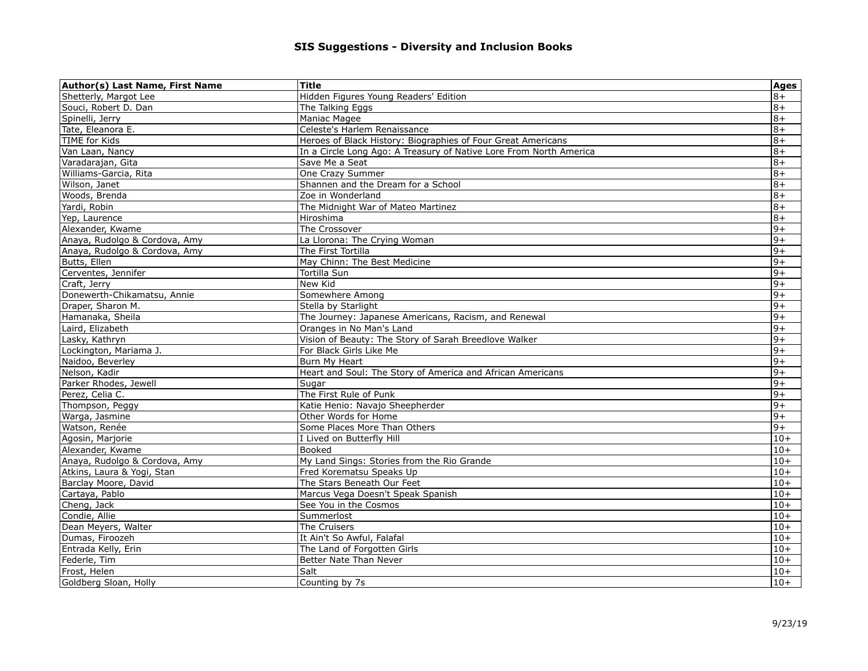| Author(s) Last Name, First Name | <b>Title</b>                                                       | Ages  |
|---------------------------------|--------------------------------------------------------------------|-------|
| Shetterly, Margot Lee           | Hidden Figures Young Readers' Edition                              | $8+$  |
| Souci, Robert D. Dan            | The Talking Eggs                                                   | $8+$  |
| Spinelli, Jerry                 | Maniac Magee                                                       | $+8$  |
| Tate, Eleanora E.               | Celeste's Harlem Renaissance                                       | $8+$  |
| TIME for Kids                   | Heroes of Black History: Biographies of Four Great Americans       | $8+$  |
| Van Laan, Nancy                 | In a Circle Long Ago: A Treasury of Native Lore From North America | $8+$  |
| Varadarajan, Gita               | Save Me a Seat                                                     | $8+$  |
| Williams-Garcia, Rita           | One Crazy Summer                                                   | $8+$  |
| Wilson, Janet                   | Shannen and the Dream for a School                                 | $8+$  |
| Woods, Brenda                   | Zoe in Wonderland                                                  | $8+$  |
| Yardi, Robin                    | The Midnight War of Mateo Martinez                                 | $8+$  |
| Yep, Laurence                   | Hiroshima                                                          | $8+$  |
| Alexander, Kwame                | The Crossover                                                      | $+6$  |
| Anaya, Rudolgo & Cordova, Amy   | La Llorona: The Crying Woman                                       | $9+$  |
| Anaya, Rudolgo & Cordova, Amy   | The First Tortilla                                                 | $9+$  |
| Butts, Ellen                    | May Chinn: The Best Medicine                                       | $9+$  |
| Cerventes, Jennifer             | Tortilla Sun                                                       | $9+$  |
| Craft, Jerry                    | New Kid                                                            | $9+$  |
| Donewerth-Chikamatsu, Annie     | Somewhere Among                                                    | $+6$  |
| Draper, Sharon M.               | Stella by Starlight                                                | $9+$  |
| Hamanaka, Sheila                | The Journey: Japanese Americans, Racism, and Renewal               | $9+$  |
| Laird, Elizabeth                | Oranges in No Man's Land                                           | $9+$  |
| Lasky, Kathryn                  | Vision of Beauty: The Story of Sarah Breedlove Walker              | $9+$  |
| Lockington, Mariama J.          | For Black Girls Like Me                                            | $+6$  |
| Naidoo, Beverley                | Burn My Heart                                                      | $9+$  |
| Nelson, Kadir                   | Heart and Soul: The Story of America and African Americans         | $9+$  |
| Parker Rhodes, Jewell           | Sugar                                                              | $+6$  |
| Perez, Celia C.                 | The First Rule of Punk                                             | $9+$  |
| Thompson, Peggy                 | Katie Henio: Navajo Sheepherder                                    | $9+$  |
| Warga, Jasmine                  | Other Words for Home                                               | $9+$  |
| Watson, Renée                   | Some Places More Than Others                                       | $9+$  |
| Agosin, Marjorie                | I Lived on Butterfly Hill                                          | $10+$ |
| Alexander, Kwame                | Booked                                                             | $10+$ |
| Anaya, Rudolgo & Cordova, Amy   | My Land Sings: Stories from the Rio Grande                         | $10+$ |
| Atkins, Laura & Yogi, Stan      | Fred Korematsu Speaks Up                                           | $10+$ |
| Barclay Moore, David            | The Stars Beneath Our Feet                                         | $10+$ |
| Cartaya, Pablo                  | Marcus Vega Doesn't Speak Spanish                                  | $10+$ |
| Cheng, Jack                     | See You in the Cosmos                                              | $10+$ |
| Condie, Allie                   | Summerlost                                                         | $10+$ |
| Dean Meyers, Walter             | The Cruisers                                                       | $10+$ |
| Dumas, Firoozeh                 | It Ain't So Awful, Falafal                                         | $10+$ |
| Entrada Kelly, Erin             | The Land of Forgotten Girls                                        | $10+$ |
| Federle, Tim                    | Better Nate Than Never                                             | $10+$ |
| Frost, Helen                    | Salt                                                               | $10+$ |
| Goldberg Sloan, Holly           | Counting by 7s                                                     | $10+$ |